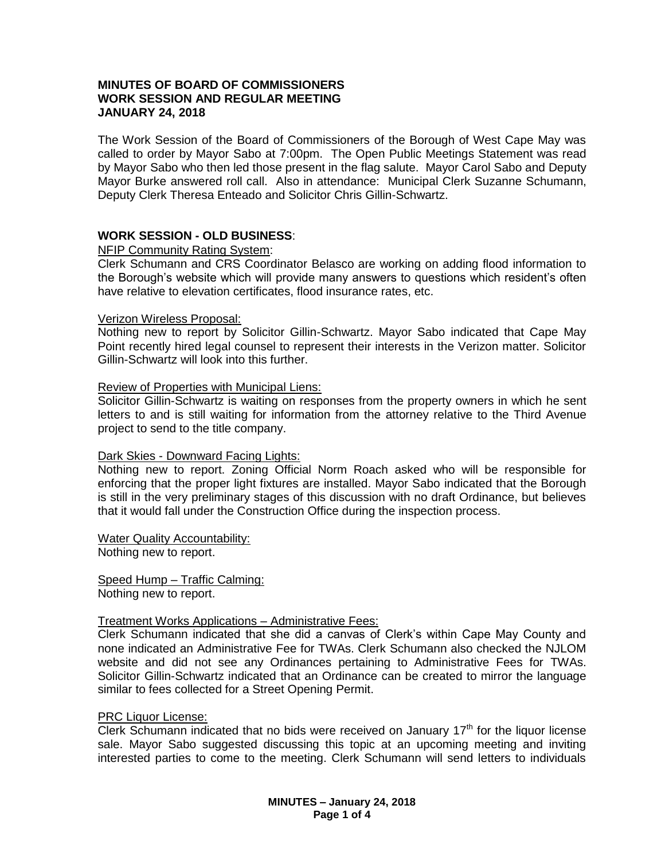## **MINUTES OF BOARD OF COMMISSIONERS WORK SESSION AND REGULAR MEETING JANUARY 24, 2018**

The Work Session of the Board of Commissioners of the Borough of West Cape May was called to order by Mayor Sabo at 7:00pm. The Open Public Meetings Statement was read by Mayor Sabo who then led those present in the flag salute. Mayor Carol Sabo and Deputy Mayor Burke answered roll call. Also in attendance: Municipal Clerk Suzanne Schumann, Deputy Clerk Theresa Enteado and Solicitor Chris Gillin-Schwartz.

# **WORK SESSION - OLD BUSINESS**:

## NFIP Community Rating System:

Clerk Schumann and CRS Coordinator Belasco are working on adding flood information to the Borough's website which will provide many answers to questions which resident's often have relative to elevation certificates, flood insurance rates, etc.

## Verizon Wireless Proposal:

Nothing new to report by Solicitor Gillin-Schwartz. Mayor Sabo indicated that Cape May Point recently hired legal counsel to represent their interests in the Verizon matter. Solicitor Gillin-Schwartz will look into this further.

## Review of Properties with Municipal Liens:

Solicitor Gillin-Schwartz is waiting on responses from the property owners in which he sent letters to and is still waiting for information from the attorney relative to the Third Avenue project to send to the title company.

## Dark Skies - Downward Facing Lights:

Nothing new to report. Zoning Official Norm Roach asked who will be responsible for enforcing that the proper light fixtures are installed. Mayor Sabo indicated that the Borough is still in the very preliminary stages of this discussion with no draft Ordinance, but believes that it would fall under the Construction Office during the inspection process.

## Water Quality Accountability:

Nothing new to report.

Speed Hump – Traffic Calming: Nothing new to report.

## Treatment Works Applications – Administrative Fees:

Clerk Schumann indicated that she did a canvas of Clerk's within Cape May County and none indicated an Administrative Fee for TWAs. Clerk Schumann also checked the NJLOM website and did not see any Ordinances pertaining to Administrative Fees for TWAs. Solicitor Gillin-Schwartz indicated that an Ordinance can be created to mirror the language similar to fees collected for a Street Opening Permit.

#### PRC Liquor License:

Clerk Schumann indicated that no bids were received on January  $17<sup>th</sup>$  for the liquor license sale. Mayor Sabo suggested discussing this topic at an upcoming meeting and inviting interested parties to come to the meeting. Clerk Schumann will send letters to individuals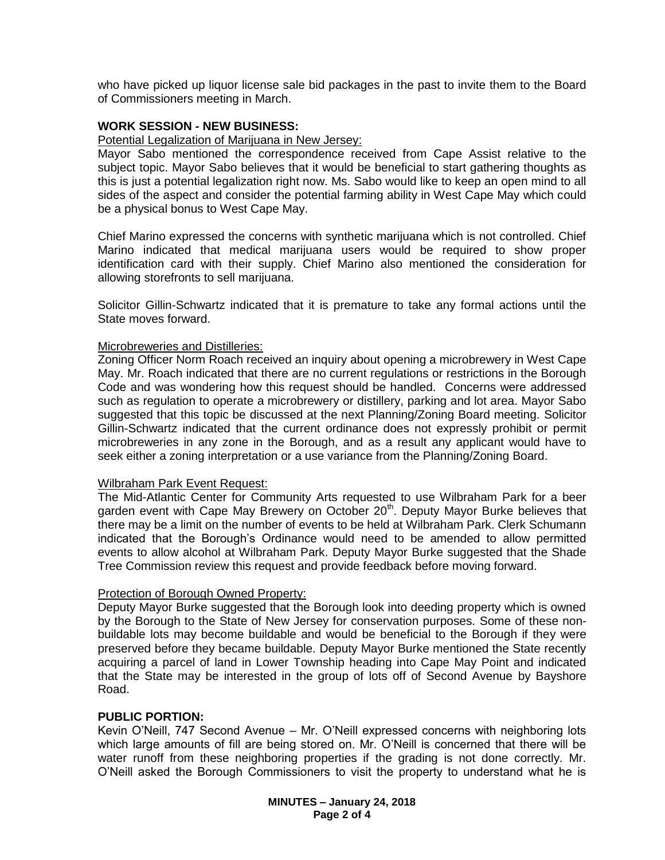who have picked up liquor license sale bid packages in the past to invite them to the Board of Commissioners meeting in March.

## **WORK SESSION - NEW BUSINESS:**

#### Potential Legalization of Marijuana in New Jersey:

Mayor Sabo mentioned the correspondence received from Cape Assist relative to the subject topic. Mayor Sabo believes that it would be beneficial to start gathering thoughts as this is just a potential legalization right now. Ms. Sabo would like to keep an open mind to all sides of the aspect and consider the potential farming ability in West Cape May which could be a physical bonus to West Cape May.

Chief Marino expressed the concerns with synthetic marijuana which is not controlled. Chief Marino indicated that medical marijuana users would be required to show proper identification card with their supply. Chief Marino also mentioned the consideration for allowing storefronts to sell marijuana.

Solicitor Gillin-Schwartz indicated that it is premature to take any formal actions until the State moves forward.

#### Microbreweries and Distilleries:

Zoning Officer Norm Roach received an inquiry about opening a microbrewery in West Cape May. Mr. Roach indicated that there are no current regulations or restrictions in the Borough Code and was wondering how this request should be handled. Concerns were addressed such as regulation to operate a microbrewery or distillery, parking and lot area. Mayor Sabo suggested that this topic be discussed at the next Planning/Zoning Board meeting. Solicitor Gillin-Schwartz indicated that the current ordinance does not expressly prohibit or permit microbreweries in any zone in the Borough, and as a result any applicant would have to seek either a zoning interpretation or a use variance from the Planning/Zoning Board.

## Wilbraham Park Event Request:

The Mid-Atlantic Center for Community Arts requested to use Wilbraham Park for a beer garden event with Cape May Brewery on October 20<sup>th</sup>. Deputy Mayor Burke believes that there may be a limit on the number of events to be held at Wilbraham Park. Clerk Schumann indicated that the Borough's Ordinance would need to be amended to allow permitted events to allow alcohol at Wilbraham Park. Deputy Mayor Burke suggested that the Shade Tree Commission review this request and provide feedback before moving forward.

## Protection of Borough Owned Property:

Deputy Mayor Burke suggested that the Borough look into deeding property which is owned by the Borough to the State of New Jersey for conservation purposes. Some of these nonbuildable lots may become buildable and would be beneficial to the Borough if they were preserved before they became buildable. Deputy Mayor Burke mentioned the State recently acquiring a parcel of land in Lower Township heading into Cape May Point and indicated that the State may be interested in the group of lots off of Second Avenue by Bayshore Road.

## **PUBLIC PORTION:**

Kevin O'Neill, 747 Second Avenue – Mr. O'Neill expressed concerns with neighboring lots which large amounts of fill are being stored on. Mr. O'Neill is concerned that there will be water runoff from these neighboring properties if the grading is not done correctly. Mr. O'Neill asked the Borough Commissioners to visit the property to understand what he is

> **MINUTES – January 24, 2018 Page 2 of 4**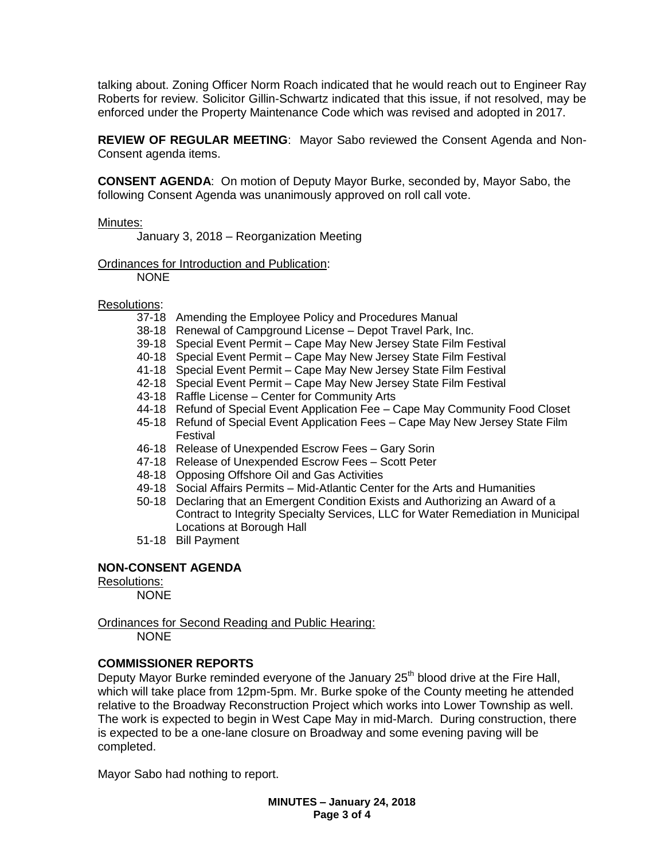talking about. Zoning Officer Norm Roach indicated that he would reach out to Engineer Ray Roberts for review. Solicitor Gillin-Schwartz indicated that this issue, if not resolved, may be enforced under the Property Maintenance Code which was revised and adopted in 2017.

**REVIEW OF REGULAR MEETING**: Mayor Sabo reviewed the Consent Agenda and Non-Consent agenda items.

**CONSENT AGENDA**: On motion of Deputy Mayor Burke, seconded by, Mayor Sabo, the following Consent Agenda was unanimously approved on roll call vote.

## Minutes:

January 3, 2018 – Reorganization Meeting

Ordinances for Introduction and Publication:

NONE

## Resolutions:

- 37-18 Amending the Employee Policy and Procedures Manual
- 38-18 Renewal of Campground License Depot Travel Park, Inc.
- 39-18 Special Event Permit Cape May New Jersey State Film Festival
- 40-18 Special Event Permit Cape May New Jersey State Film Festival
- 41-18 Special Event Permit Cape May New Jersey State Film Festival
- 42-18 Special Event Permit Cape May New Jersey State Film Festival
- 43-18 Raffle License Center for Community Arts
- 44-18 Refund of Special Event Application Fee Cape May Community Food Closet
- 45-18 Refund of Special Event Application Fees Cape May New Jersey State Film Festival
- 46-18 Release of Unexpended Escrow Fees Gary Sorin
- 47-18 Release of Unexpended Escrow Fees Scott Peter
- 48-18 Opposing Offshore Oil and Gas Activities
- 49-18 Social Affairs Permits Mid-Atlantic Center for the Arts and Humanities
- 50-18 Declaring that an Emergent Condition Exists and Authorizing an Award of a Contract to Integrity Specialty Services, LLC for Water Remediation in Municipal Locations at Borough Hall
- 51-18 Bill Payment

# **NON-CONSENT AGENDA**

## Resolutions:

NONE

Ordinances for Second Reading and Public Hearing:

NONE

# **COMMISSIONER REPORTS**

Deputy Mayor Burke reminded everyone of the January  $25<sup>th</sup>$  blood drive at the Fire Hall, which will take place from 12pm-5pm. Mr. Burke spoke of the County meeting he attended relative to the Broadway Reconstruction Project which works into Lower Township as well. The work is expected to begin in West Cape May in mid-March. During construction, there is expected to be a one-lane closure on Broadway and some evening paving will be completed.

Mayor Sabo had nothing to report.